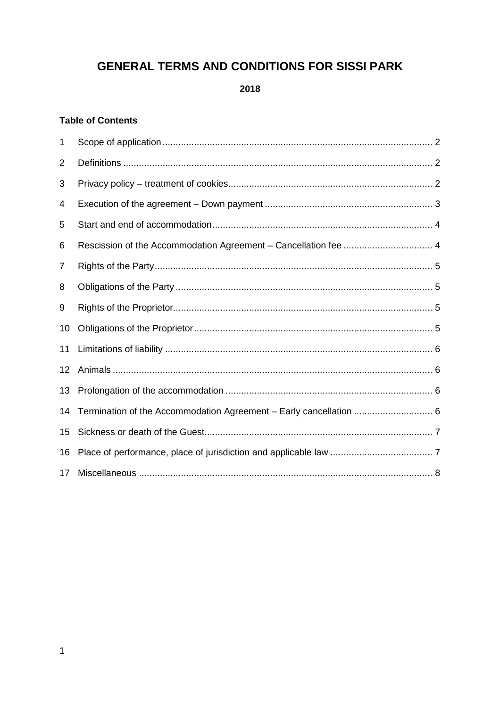# **GENERAL TERMS AND CONDITIONS FOR SISSI PARK**

2018

# **Table of Contents**

| 1  |                                                                 |  |
|----|-----------------------------------------------------------------|--|
| 2  |                                                                 |  |
| 3  |                                                                 |  |
| 4  |                                                                 |  |
| 5  |                                                                 |  |
| 6  | Rescission of the Accommodation Agreement - Cancellation fee  4 |  |
| 7  |                                                                 |  |
| 8  |                                                                 |  |
| 9  |                                                                 |  |
| 10 |                                                                 |  |
| 11 |                                                                 |  |
| 12 |                                                                 |  |
| 13 |                                                                 |  |
| 14 |                                                                 |  |
| 15 |                                                                 |  |
| 16 |                                                                 |  |
| 17 |                                                                 |  |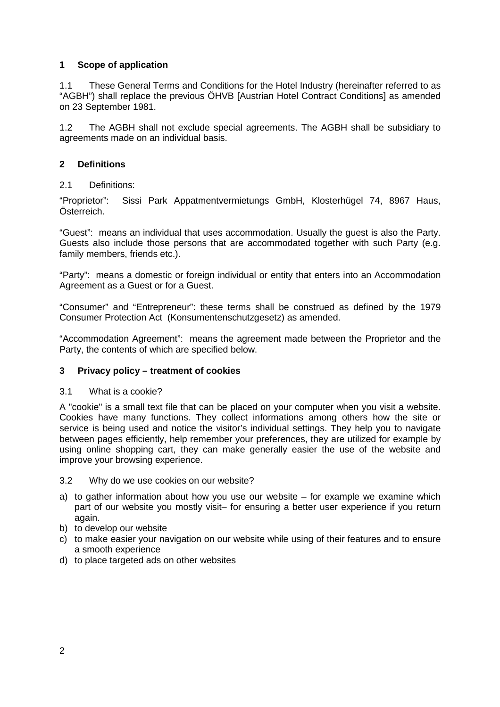## **1 Scope of application**

1.1 These General Terms and Conditions for the Hotel Industry (hereinafter referred to as "AGBH") shall replace the previous ÖHVB [Austrian Hotel Contract Conditions] as amended on 23 September 1981.

1.2 The AGBH shall not exclude special agreements. The AGBH shall be subsidiary to agreements made on an individual basis.

# **2 Definitions**

## 2.1 Definitions:

"Proprietor": Sissi Park Appatmentvermietungs GmbH, Klosterhügel 74, 8967 Haus, Österreich.

"Guest": means an individual that uses accommodation. Usually the guest is also the Party. Guests also include those persons that are accommodated together with such Party (e.g. family members, friends etc.).

"Party": means a domestic or foreign individual or entity that enters into an Accommodation Agreement as a Guest or for a Guest.

"Consumer" and "Entrepreneur": these terms shall be construed as defined by the 1979 Consumer Protection Act (Konsumentenschutzgesetz) as amended.

"Accommodation Agreement": means the agreement made between the Proprietor and the Party, the contents of which are specified below.

## **3 Privacy policy – treatment of cookies**

#### 3.1 What is a cookie?

A "cookie" is a small text file that can be placed on your computer when you visit a website. Cookies have many functions. They collect informations among others how the site or service is being used and notice the visitor's individual settings. They help you to navigate between pages efficiently, help remember your preferences, they are utilized for example by using online shopping cart, they can make generally easier the use of the website and improve your browsing experience.

#### 3.2 Why do we use cookies on our website?

- a) to gather information about how you use our website for example we examine which part of our website you mostly visit– for ensuring a better user experience if you return again.
- b) to develop our website
- c) to make easier your navigation on our website while using of their features and to ensure a smooth experience
- d) to place targeted ads on other websites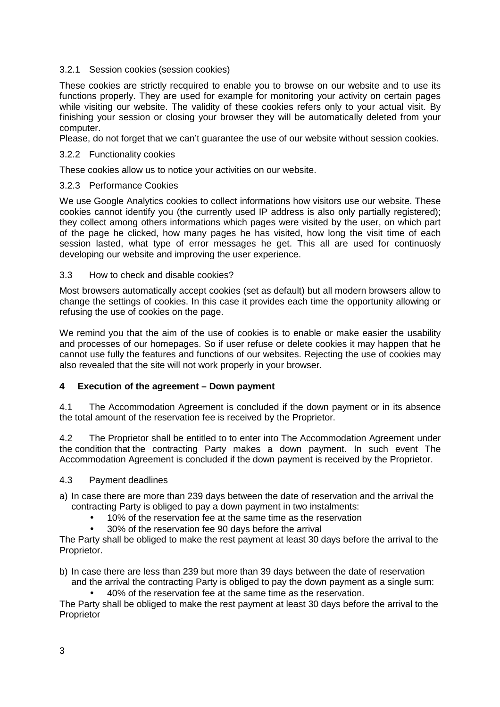### 3.2.1 Session cookies (session cookies)

These cookies are strictly recquired to enable you to browse on our website and to use its functions properly. They are used for example for monitoring your activity on certain pages while visiting our website. The validity of these cookies refers only to your actual visit. By finishing your session or closing your browser they will be automatically deleted from your computer.

Please, do not forget that we can't guarantee the use of our website without session cookies.

#### 3.2.2 Functionality cookies

These cookies allow us to notice your activities on our website.

#### 3.2.3 Performance Cookies

We use Google Analytics cookies to collect informations how visitors use our website. These cookies cannot identify you (the currently used IP address is also only partially registered); they collect among others informations which pages were visited by the user, on which part of the page he clicked, how many pages he has visited, how long the visit time of each session lasted, what type of error messages he get. This all are used for continuosly developing our website and improving the user experience.

#### 3.3 How to check and disable cookies?

Most browsers automatically accept cookies (set as default) but all modern browsers allow to change the settings of cookies. In this case it provides each time the opportunity allowing or refusing the use of cookies on the page.

We remind you that the aim of the use of cookies is to enable or make easier the usability and processes of our homepages. So if user refuse or delete cookies it may happen that he cannot use fully the features and functions of our websites. Rejecting the use of cookies may also revealed that the site will not work properly in your browser.

## **4 Execution of the agreement – Down payment**

4.1 The Accommodation Agreement is concluded if the down payment or in its absence the total amount of the reservation fee is received by the Proprietor.

4.2 The Proprietor shall be entitled to to enter into The Accommodation Agreement under the condition that the contracting Party makes a down payment. In such event The Accommodation Agreement is concluded if the down payment is received by the Proprietor.

#### 4.3 Payment deadlines

- a) In case there are more than 239 days between the date of reservation and the arrival the contracting Party is obliged to pay a down payment in two instalments:
	- 10% of the reservation fee at the same time as the reservation
		- 30% of the reservation fee 90 days before the arrival

The Party shall be obliged to make the rest payment at least 30 days before the arrival to the Proprietor.

- b) In case there are less than 239 but more than 39 days between the date of reservation and the arrival the contracting Party is obliged to pay the down payment as a single sum:
	- 40% of the reservation fee at the same time as the reservation.

The Party shall be obliged to make the rest payment at least 30 days before the arrival to the **Proprietor**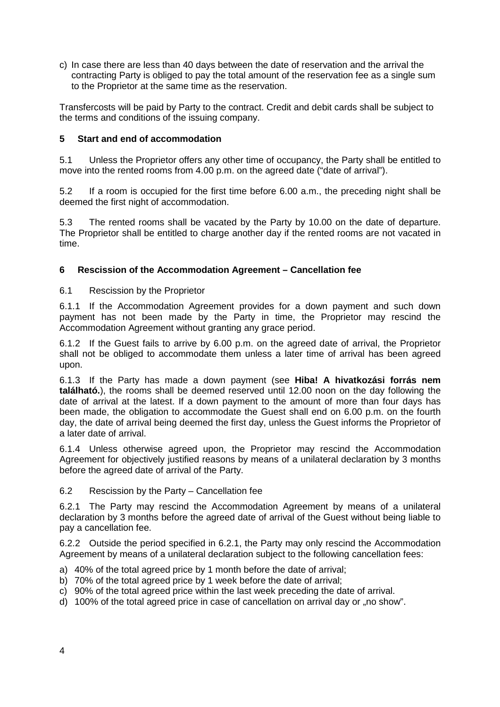c) In case there are less than 40 days between the date of reservation and the arrival the contracting Party is obliged to pay the total amount of the reservation fee as a single sum to the Proprietor at the same time as the reservation.

Transfercosts will be paid by Party to the contract. Credit and debit cards shall be subject to the terms and conditions of the issuing company.

# **5 Start and end of accommodation**

5.1 Unless the Proprietor offers any other time of occupancy, the Party shall be entitled to move into the rented rooms from 4.00 p.m. on the agreed date ("date of arrival").

5.2 If a room is occupied for the first time before 6.00 a.m., the preceding night shall be deemed the first night of accommodation.

5.3 The rented rooms shall be vacated by the Party by 10.00 on the date of departure. The Proprietor shall be entitled to charge another day if the rented rooms are not vacated in time.

## **6 Rescission of the Accommodation Agreement – Cancellation fee**

#### 6.1 Rescission by the Proprietor

6.1.1 If the Accommodation Agreement provides for a down payment and such down payment has not been made by the Party in time, the Proprietor may rescind the Accommodation Agreement without granting any grace period.

6.1.2 If the Guest fails to arrive by 6.00 p.m. on the agreed date of arrival, the Proprietor shall not be obliged to accommodate them unless a later time of arrival has been agreed upon.

6.1.3 If the Party has made a down payment (see **Hiba! A hivatkozási forrás nem található.**), the rooms shall be deemed reserved until 12.00 noon on the day following the date of arrival at the latest. If a down payment to the amount of more than four days has been made, the obligation to accommodate the Guest shall end on 6.00 p.m. on the fourth day, the date of arrival being deemed the first day, unless the Guest informs the Proprietor of a later date of arrival.

6.1.4 Unless otherwise agreed upon, the Proprietor may rescind the Accommodation Agreement for objectively justified reasons by means of a unilateral declaration by 3 months before the agreed date of arrival of the Party.

#### 6.2 Rescission by the Party – Cancellation fee

6.2.1 The Party may rescind the Accommodation Agreement by means of a unilateral declaration by 3 months before the agreed date of arrival of the Guest without being liable to pay a cancellation fee.

6.2.2 Outside the period specified in 6.2.1, the Party may only rescind the Accommodation Agreement by means of a unilateral declaration subject to the following cancellation fees:

- a) 40% of the total agreed price by 1 month before the date of arrival;
- b) 70% of the total agreed price by 1 week before the date of arrival;
- c) 90% of the total agreed price within the last week preceding the date of arrival.
- d) 100% of the total agreed price in case of cancellation on arrival day or "no show".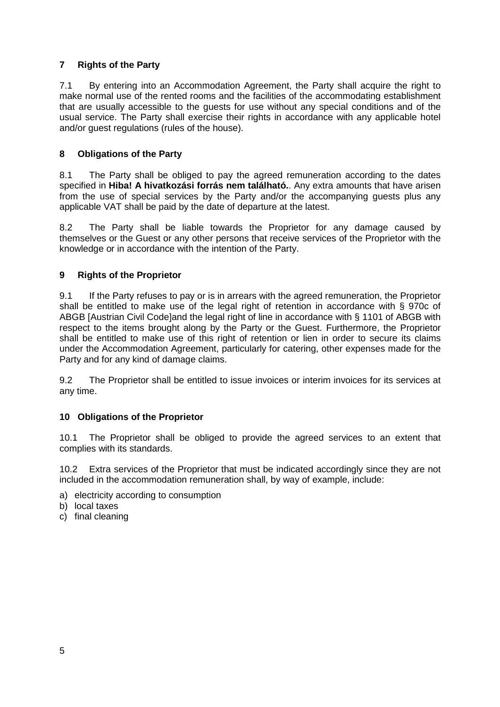# **7 Rights of the Party**

7.1 By entering into an Accommodation Agreement, the Party shall acquire the right to make normal use of the rented rooms and the facilities of the accommodating establishment that are usually accessible to the guests for use without any special conditions and of the usual service. The Party shall exercise their rights in accordance with any applicable hotel and/or guest regulations (rules of the house).

# **8 Obligations of the Party**

8.1 The Party shall be obliged to pay the agreed remuneration according to the dates specified in **Hiba! A hivatkozási forrás nem található.**. Any extra amounts that have arisen from the use of special services by the Party and/or the accompanying guests plus any applicable VAT shall be paid by the date of departure at the latest.

8.2 The Party shall be liable towards the Proprietor for any damage caused by themselves or the Guest or any other persons that receive services of the Proprietor with the knowledge or in accordance with the intention of the Party.

# **9 Rights of the Proprietor**

9.1 If the Party refuses to pay or is in arrears with the agreed remuneration, the Proprietor shall be entitled to make use of the legal right of retention in accordance with § 970c of ABGB [Austrian Civil Code]and the legal right of line in accordance with § 1101 of ABGB with respect to the items brought along by the Party or the Guest. Furthermore, the Proprietor shall be entitled to make use of this right of retention or lien in order to secure its claims under the Accommodation Agreement, particularly for catering, other expenses made for the Party and for any kind of damage claims.

9.2 The Proprietor shall be entitled to issue invoices or interim invoices for its services at any time.

## **10 Obligations of the Proprietor**

10.1 The Proprietor shall be obliged to provide the agreed services to an extent that complies with its standards.

10.2 Extra services of the Proprietor that must be indicated accordingly since they are not included in the accommodation remuneration shall, by way of example, include:

- a) electricity according to consumption
- b) local taxes
- c) final cleaning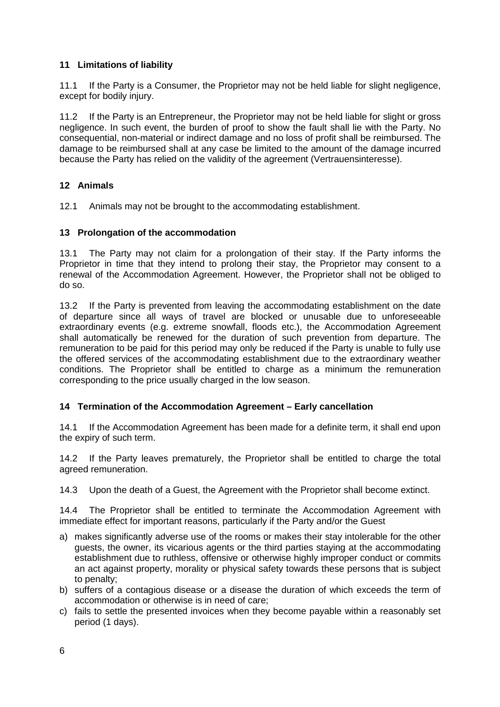# **11 Limitations of liability**

11.1 If the Party is a Consumer, the Proprietor may not be held liable for slight negligence, except for bodily injury.

11.2 If the Party is an Entrepreneur, the Proprietor may not be held liable for slight or gross negligence. In such event, the burden of proof to show the fault shall lie with the Party. No consequential, non-material or indirect damage and no loss of profit shall be reimbursed. The damage to be reimbursed shall at any case be limited to the amount of the damage incurred because the Party has relied on the validity of the agreement (Vertrauensinteresse).

# **12 Animals**

12.1 Animals may not be brought to the accommodating establishment.

# **13 Prolongation of the accommodation**

13.1 The Party may not claim for a prolongation of their stay. If the Party informs the Proprietor in time that they intend to prolong their stay, the Proprietor may consent to a renewal of the Accommodation Agreement. However, the Proprietor shall not be obliged to do so.

13.2 If the Party is prevented from leaving the accommodating establishment on the date of departure since all ways of travel are blocked or unusable due to unforeseeable extraordinary events (e.g. extreme snowfall, floods etc.), the Accommodation Agreement shall automatically be renewed for the duration of such prevention from departure. The remuneration to be paid for this period may only be reduced if the Party is unable to fully use the offered services of the accommodating establishment due to the extraordinary weather conditions. The Proprietor shall be entitled to charge as a minimum the remuneration corresponding to the price usually charged in the low season.

## **14 Termination of the Accommodation Agreement – Early cancellation**

14.1 If the Accommodation Agreement has been made for a definite term, it shall end upon the expiry of such term.

14.2 If the Party leaves prematurely, the Proprietor shall be entitled to charge the total agreed remuneration.

14.3 Upon the death of a Guest, the Agreement with the Proprietor shall become extinct.

14.4 The Proprietor shall be entitled to terminate the Accommodation Agreement with immediate effect for important reasons, particularly if the Party and/or the Guest

- a) makes significantly adverse use of the rooms or makes their stay intolerable for the other guests, the owner, its vicarious agents or the third parties staying at the accommodating establishment due to ruthless, offensive or otherwise highly improper conduct or commits an act against property, morality or physical safety towards these persons that is subject to penalty;
- b) suffers of a contagious disease or a disease the duration of which exceeds the term of accommodation or otherwise is in need of care;
- c) fails to settle the presented invoices when they become payable within a reasonably set period (1 days).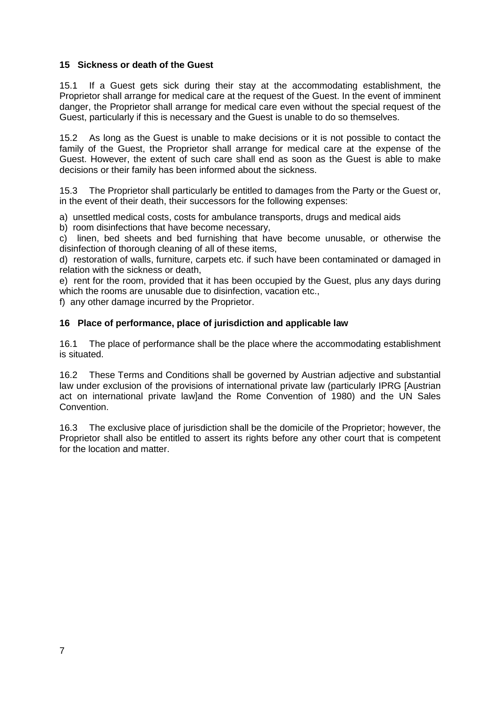# **15 Sickness or death of the Guest**

15.1 If a Guest gets sick during their stay at the accommodating establishment, the Proprietor shall arrange for medical care at the request of the Guest. In the event of imminent danger, the Proprietor shall arrange for medical care even without the special request of the Guest, particularly if this is necessary and the Guest is unable to do so themselves.

15.2 As long as the Guest is unable to make decisions or it is not possible to contact the family of the Guest, the Proprietor shall arrange for medical care at the expense of the Guest. However, the extent of such care shall end as soon as the Guest is able to make decisions or their family has been informed about the sickness.

15.3 The Proprietor shall particularly be entitled to damages from the Party or the Guest or, in the event of their death, their successors for the following expenses:

a) unsettled medical costs, costs for ambulance transports, drugs and medical aids

b) room disinfections that have become necessary,

c) linen, bed sheets and bed furnishing that have become unusable, or otherwise the disinfection of thorough cleaning of all of these items,

d) restoration of walls, furniture, carpets etc. if such have been contaminated or damaged in relation with the sickness or death,

e) rent for the room, provided that it has been occupied by the Guest, plus any days during which the rooms are unusable due to disinfection, vacation etc.,

f) any other damage incurred by the Proprietor.

# **16 Place of performance, place of jurisdiction and applicable law**

16.1 The place of performance shall be the place where the accommodating establishment is situated.

16.2 These Terms and Conditions shall be governed by Austrian adjective and substantial law under exclusion of the provisions of international private law (particularly IPRG [Austrian act on international private law]and the Rome Convention of 1980) and the UN Sales Convention.

16.3 The exclusive place of jurisdiction shall be the domicile of the Proprietor; however, the Proprietor shall also be entitled to assert its rights before any other court that is competent for the location and matter.